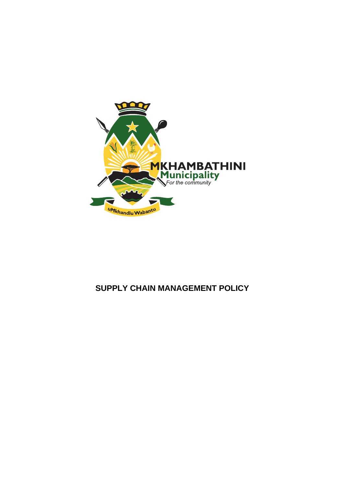

# **SUPPLY CHAIN MANAGEMENT POLICY**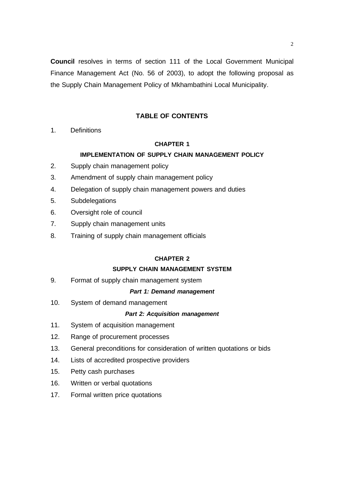**Council** resolves in terms of section 111 of the Local Government Municipal Finance Management Act (No. 56 of 2003), to adopt the following proposal as the Supply Chain Management Policy of Mkhambathini Local Municipality.

# **TABLE OF CONTENTS**

1. Definitions

# **CHAPTER 1**

# **IMPLEMENTATION OF SUPPLY CHAIN MANAGEMENT POLICY**

- 2. Supply chain management policy
- 3. Amendment of supply chain management policy
- 4. Delegation of supply chain management powers and duties
- 5. Subdelegations
- 6. Oversight role of council
- 7. Supply chain management units
- 8. Training of supply chain management officials

# **CHAPTER 2**

# **SUPPLY CHAIN MANAGEMENT SYSTEM**

9. Format of supply chain management system

### *Part 1: Demand management*

10. System of demand management

### *Part 2: Acquisition management*

- 11. System of acquisition management
- 12. Range of procurement processes
- 13. General preconditions for consideration of written quotations or bids
- 14. Lists of accredited prospective providers
- 15. Petty cash purchases
- 16. Written or verbal quotations
- 17. Formal written price quotations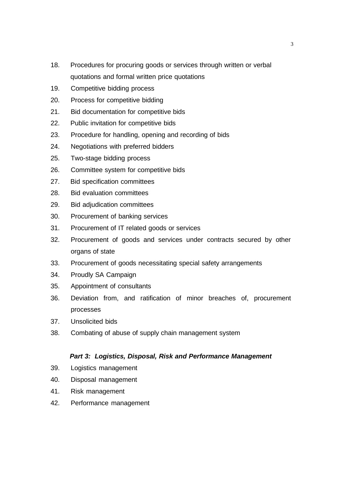- 18. Procedures for procuring goods or services through written or verbal quotations and formal written price quotations
- 19. Competitive bidding process
- 20. Process for competitive bidding
- 21. Bid documentation for competitive bids
- 22. Public invitation for competitive bids
- 23. Procedure for handling, opening and recording of bids
- 24. Negotiations with preferred bidders
- 25. Two-stage bidding process
- 26. Committee system for competitive bids
- 27. Bid specification committees
- 28. Bid evaluation committees
- 29. Bid adjudication committees
- 30. Procurement of banking services
- 31. Procurement of IT related goods or services
- 32. Procurement of goods and services under contracts secured by other organs of state
- 33. Procurement of goods necessitating special safety arrangements
- 34. Proudly SA Campaign
- 35. Appointment of consultants
- 36. Deviation from, and ratification of minor breaches of, procurement processes
- 37. Unsolicited bids
- 38. Combating of abuse of supply chain management system

# *Part 3: Logistics, Disposal, Risk and Performance Management*

- 39. Logistics management
- 40. Disposal management
- 41. Risk management
- 42. Performance management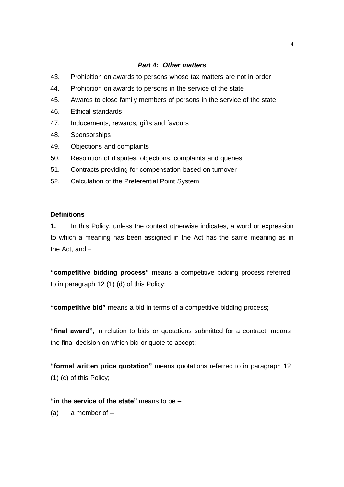### *Part 4: Other matters*

- 43. Prohibition on awards to persons whose tax matters are not in order
- 44. Prohibition on awards to persons in the service of the state
- 45. Awards to close family members of persons in the service of the state
- 46. Ethical standards
- 47. Inducements, rewards, gifts and favours
- 48. Sponsorships
- 49. Objections and complaints
- 50. Resolution of disputes, objections, complaints and queries
- 51. Contracts providing for compensation based on turnover
- 52. Calculation of the Preferential Point System

## **Definitions**

**1.** In this Policy, unless the context otherwise indicates, a word or expression to which a meaning has been assigned in the Act has the same meaning as in the Act, and –

**"competitive bidding process"** means a competitive bidding process referred to in paragraph 12 (1) (d) of this Policy;

**"competitive bid"** means a bid in terms of a competitive bidding process;

**"final award"**, in relation to bids or quotations submitted for a contract, means the final decision on which bid or quote to accept;

**"formal written price quotation"** means quotations referred to in paragraph 12 (1) (c) of this Policy;

**"in the service of the state"** means to be –

(a) a member of  $-$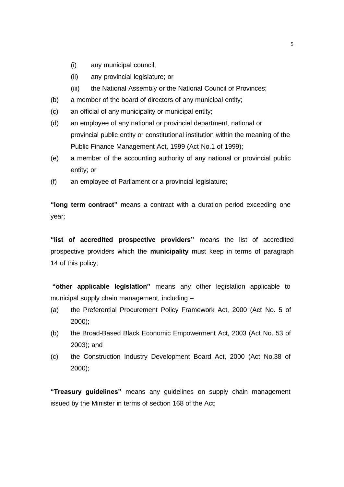- (i) any municipal council;
- (ii) any provincial legislature; or
- (iii) the National Assembly or the National Council of Provinces;
- (b) a member of the board of directors of any municipal entity;
- (c) an official of any municipality or municipal entity;
- (d) an employee of any national or provincial department, national or provincial public entity or constitutional institution within the meaning of the Public Finance Management Act, 1999 (Act No.1 of 1999);
- (e) a member of the accounting authority of any national or provincial public entity; or
- (f) an employee of Parliament or a provincial legislature;

**"long term contract"** means a contract with a duration period exceeding one year;

**"list of accredited prospective providers"** means the list of accredited prospective providers which the **municipality** must keep in terms of paragraph 14 of this policy;

**"other applicable legislation"** means any other legislation applicable to municipal supply chain management, including –

- (a) the Preferential Procurement Policy Framework Act, 2000 (Act No. 5 of 2000);
- (b) the Broad-Based Black Economic Empowerment Act, 2003 (Act No. 53 of 2003); and
- (c) the Construction Industry Development Board Act, 2000 (Act No.38 of 2000);

**"Treasury guidelines"** means any guidelines on supply chain management issued by the Minister in terms of section 168 of the Act;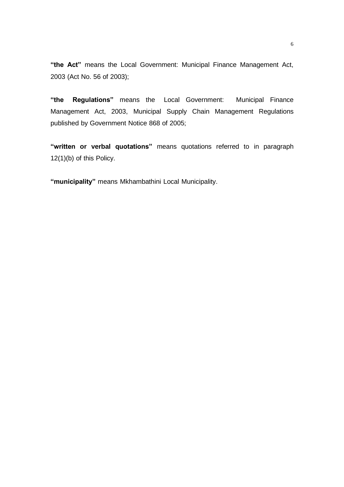**"the Act"** means the Local Government: Municipal Finance Management Act, 2003 (Act No. 56 of 2003);

**"the Regulations"** means the Local Government: Municipal Finance Management Act, 2003, Municipal Supply Chain Management Regulations published by Government Notice 868 of 2005;

**"written or verbal quotations"** means quotations referred to in paragraph 12(1)(b) of this Policy.

**"municipality"** means Mkhambathini Local Municipality.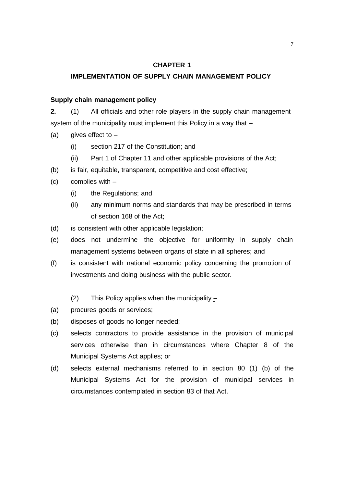# **CHAPTER 1**

### **IMPLEMENTATION OF SUPPLY CHAIN MANAGEMENT POLICY**

# **Supply chain management policy**

**2.** (1) All officials and other role players in the supply chain management system of the municipality must implement this Policy in a way that –

- (a) gives effect to  $-$ 
	- (i) section 217 of the Constitution; and
	- (ii) Part 1 of Chapter 11 and other applicable provisions of the Act;
- (b) is fair, equitable, transparent, competitive and cost effective;
- (c) complies with
	- (i) the Regulations; and
	- (ii) any minimum norms and standards that may be prescribed in terms of section 168 of the Act;
- (d) is consistent with other applicable legislation;
- (e) does not undermine the objective for uniformity in supply chain management systems between organs of state in all spheres; and
- (f) is consistent with national economic policy concerning the promotion of investments and doing business with the public sector.
	- (2) This Policy applies when the municipality –
- (a) procures goods or services;
- (b) disposes of goods no longer needed;
- (c) selects contractors to provide assistance in the provision of municipal services otherwise than in circumstances where Chapter 8 of the Municipal Systems Act applies; or
- (d) selects external mechanisms referred to in section 80 (1) (b) of the Municipal Systems Act for the provision of municipal services in circumstances contemplated in section 83 of that Act.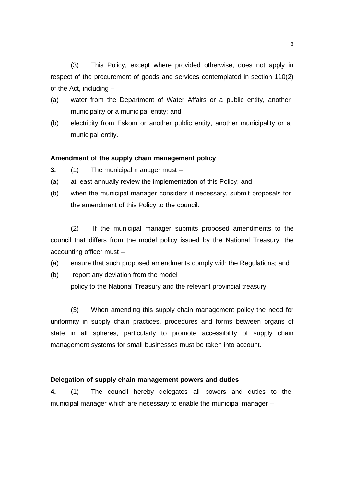(3) This Policy, except where provided otherwise, does not apply in respect of the procurement of goods and services contemplated in section 110(2) of the Act, including –

- (a) water from the Department of Water Affairs or a public entity, another municipality or a municipal entity; and
- (b) electricity from Eskom or another public entity, another municipality or a municipal entity.

### **Amendment of the supply chain management policy**

- **3.** (1) The municipal manager must –
- (a) at least annually review the implementation of this Policy; and
- (b) when the municipal manager considers it necessary, submit proposals for the amendment of this Policy to the council.

(2) If the municipal manager submits proposed amendments to the council that differs from the model policy issued by the National Treasury, the accounting officer must –

- (a) ensure that such proposed amendments comply with the Regulations; and
- (b) report any deviation from the model

policy to the National Treasury and the relevant provincial treasury.

(3) When amending this supply chain management policy the need for uniformity in supply chain practices, procedures and forms between organs of state in all spheres, particularly to promote accessibility of supply chain management systems for small businesses must be taken into account.

### **Delegation of supply chain management powers and duties**

**4.** (1) The council hereby delegates all powers and duties to the municipal manager which are necessary to enable the municipal manager –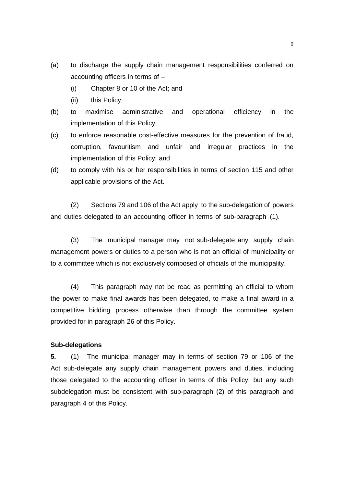- (a) to discharge the supply chain management responsibilities conferred on accounting officers in terms of –
	- (i) Chapter 8 or 10 of the Act; and
	- (ii) this Policy;
- (b) to maximise administrative and operational efficiency in the implementation of this Policy;
- (c) to enforce reasonable cost-effective measures for the prevention of fraud, corruption, favouritism and unfair and irregular practices in the implementation of this Policy; and
- (d) to comply with his or her responsibilities in terms of section 115 and other applicable provisions of the Act.

(2) Sections 79 and 106 of the Act apply to the sub-delegation of powers and duties delegated to an accounting officer in terms of sub-paragraph (1).

(3) The municipal manager may not sub-delegate any supply chain management powers or duties to a person who is not an official of municipality or to a committee which is not exclusively composed of officials of the municipality.

(4) This paragraph may not be read as permitting an official to whom the power to make final awards has been delegated, to make a final award in a competitive bidding process otherwise than through the committee system provided for in paragraph 26 of this Policy.

# **Sub-delegations**

**5.** (1) The municipal manager may in terms of section 79 or 106 of the Act sub-delegate any supply chain management powers and duties, including those delegated to the accounting officer in terms of this Policy, but any such subdelegation must be consistent with sub-paragraph (2) of this paragraph and paragraph 4 of this Policy.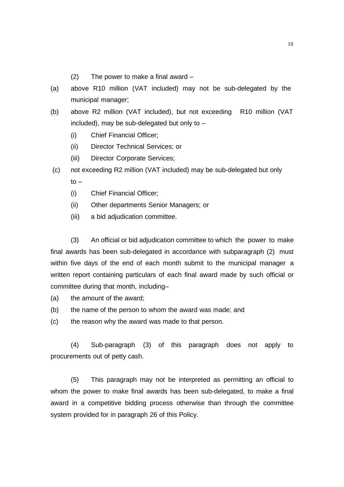- (2) The power to make a final award –
- (a) above R10 million (VAT included) may not be sub-delegated by the municipal manager;
- (b) above R2 million (VAT included), but not exceeding R10 million (VAT included), may be sub-delegated but only to –
	- (i) Chief Financial Officer;
	- (ii) Director Technical Services; or
	- (iii) Director Corporate Services;
- (c) not exceeding R2 million (VAT included) may be sub-delegated but only  $to -$ 
	- (i) Chief Financial Officer;
	- (ii) Other departments Senior Managers; or
	- (iii) a bid adjudication committee.

(3) An official or bid adjudication committee to which the power to make final awards has been sub-delegated in accordance with subparagraph (2) must within five days of the end of each month submit to the municipal manager a written report containing particulars of each final award made by such official or committee during that month, including–

- (a) the amount of the award;
- (b) the name of the person to whom the award was made; and

(c) the reason why the award was made to that person.

(4) Sub-paragraph (3) of this paragraph does not apply to procurements out of petty cash.

(5) This paragraph may not be interpreted as permitting an official to whom the power to make final awards has been sub-delegated, to make a final award in a competitive bidding process otherwise than through the committee system provided for in paragraph 26 of this Policy.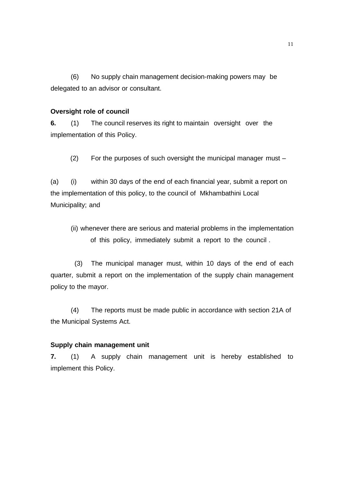(6) No supply chain management decision-making powers may be delegated to an advisor or consultant.

# **Oversight role of council**

**6.** (1) The council reserves its right to maintain oversight over the implementation of this Policy.

(2) For the purposes of such oversight the municipal manager must –

(a) (i) within 30 days of the end of each financial year, submit a report on the implementation of this policy, to the council of Mkhambathini Local Municipality; and

(ii) whenever there are serious and material problems in the implementation of this policy, immediately submit a report to the council .

(3) The municipal manager must, within 10 days of the end of each quarter, submit a report on the implementation of the supply chain management policy to the mayor.

(4) The reports must be made public in accordance with section 21A of the Municipal Systems Act.

# **Supply chain management unit**

**7.** (1) A supply chain management unit is hereby established to implement this Policy.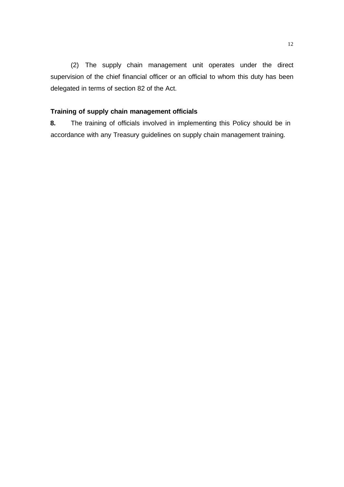(2) The supply chain management unit operates under the direct supervision of the chief financial officer or an official to whom this duty has been delegated in terms of section 82 of the Act.

# **Training of supply chain management officials**

**8.** The training of officials involved in implementing this Policy should be in accordance with any Treasury guidelines on supply chain management training.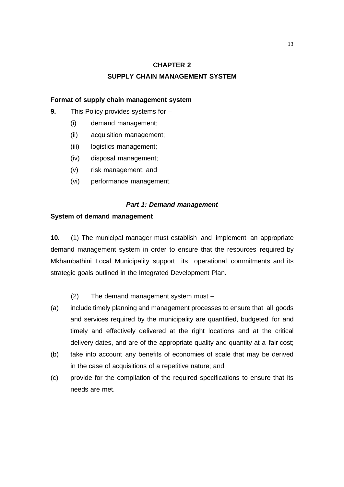# **CHAPTER 2**

# **SUPPLY CHAIN MANAGEMENT SYSTEM**

# **Format of supply chain management system**

- **9.** This Policy provides systems for
	- (i) demand management;
	- (ii) acquisition management;
	- (iii) logistics management;
	- (iv) disposal management;
	- (v) risk management; and
	- (vi) performance management.

### *Part 1: Demand management*

### **System of demand management**

**10.** (1) The municipal manager must establish and implement an appropriate demand management system in order to ensure that the resources required by Mkhambathini Local Municipality support its operational commitments and its strategic goals outlined in the Integrated Development Plan.

- (2) The demand management system must –
- (a) include timely planning and management processes to ensure that all goods and services required by the municipality are quantified, budgeted for and timely and effectively delivered at the right locations and at the critical delivery dates, and are of the appropriate quality and quantity at a fair cost;
- (b) take into account any benefits of economies of scale that may be derived in the case of acquisitions of a repetitive nature; and
- (c) provide for the compilation of the required specifications to ensure that its needs are met.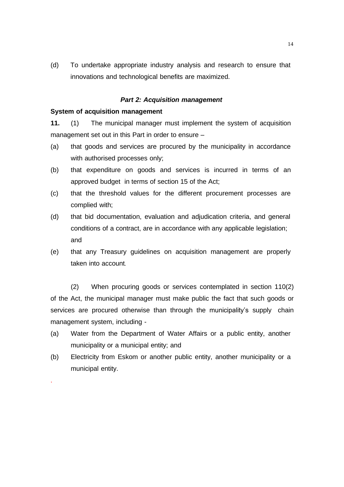(d) To undertake appropriate industry analysis and research to ensure that innovations and technological benefits are maximized.

## *Part 2: Acquisition management*

### **System of acquisition management**

.

**11.** (1) The municipal manager must implement the system of acquisition management set out in this Part in order to ensure –

- (a) that goods and services are procured by the municipality in accordance with authorised processes only;
- (b) that expenditure on goods and services is incurred in terms of an approved budget in terms of section 15 of the Act;
- (c) that the threshold values for the different procurement processes are complied with;
- (d) that bid documentation, evaluation and adjudication criteria, and general conditions of a contract, are in accordance with any applicable legislation; and
- (e) that any Treasury guidelines on acquisition management are properly taken into account.

(2) When procuring goods or services contemplated in section 110(2) of the Act, the municipal manager must make public the fact that such goods or services are procured otherwise than through the municipality's supply chain management system, including -

- (a) Water from the Department of Water Affairs or a public entity, another municipality or a municipal entity; and
- (b) Electricity from Eskom or another public entity, another municipality or a municipal entity.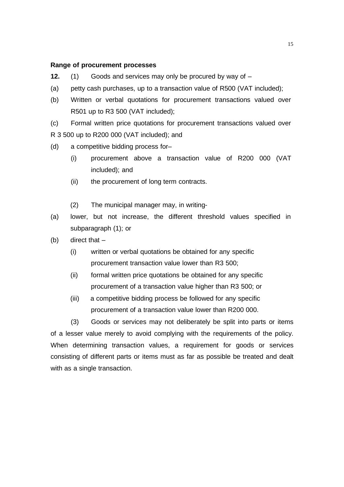### **Range of procurement processes**

- **12.** (1) Goods and services may only be procured by way of –
- (a) petty cash purchases, up to a transaction value of R500 (VAT included);
- (b) Written or verbal quotations for procurement transactions valued over R501 up to R3 500 (VAT included);

(c) Formal written price quotations for procurement transactions valued over R 3 500 up to R200 000 (VAT included); and

- (d) a competitive bidding process for–
	- (i) procurement above a transaction value of R200 000 (VAT included); and
	- (ii) the procurement of long term contracts.
	- (2) The municipal manager may, in writing-
- (a) lower, but not increase, the different threshold values specified in subparagraph (1); or
- (b) direct that
	- (i) written or verbal quotations be obtained for any specific procurement transaction value lower than R3 500;
	- (ii) formal written price quotations be obtained for any specific procurement of a transaction value higher than R3 500; or
	- (iii) a competitive bidding process be followed for any specific procurement of a transaction value lower than R200 000.

(3) Goods or services may not deliberately be split into parts or items of a lesser value merely to avoid complying with the requirements of the policy. When determining transaction values, a requirement for goods or services consisting of different parts or items must as far as possible be treated and dealt with as a single transaction.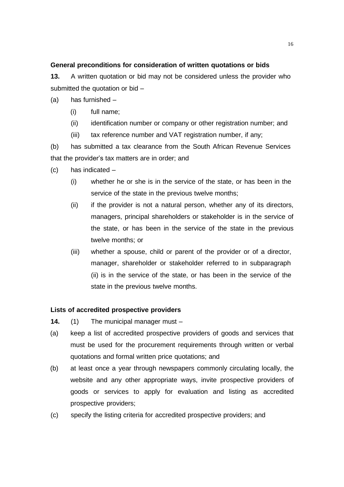# **General preconditions for consideration of written quotations or bids**

**13.** A written quotation or bid may not be considered unless the provider who submitted the quotation or bid –

- (a) has furnished
	- (i) full name;
	- (ii) identification number or company or other registration number; and
	- (iii) tax reference number and VAT registration number, if any;

(b) has submitted a tax clearance from the South African Revenue Services that the provider's tax matters are in order; and

- (c) has indicated
	- (i) whether he or she is in the service of the state, or has been in the service of the state in the previous twelve months;
	- (ii) if the provider is not a natural person, whether any of its directors, managers, principal shareholders or stakeholder is in the service of the state, or has been in the service of the state in the previous twelve months; or
	- (iii) whether a spouse, child or parent of the provider or of a director, manager, shareholder or stakeholder referred to in subparagraph (ii) is in the service of the state, or has been in the service of the state in the previous twelve months.

# **Lists of accredited prospective providers**

- **14.** (1) The municipal manager must –
- (a) keep a list of accredited prospective providers of goods and services that must be used for the procurement requirements through written or verbal quotations and formal written price quotations; and
- (b) at least once a year through newspapers commonly circulating locally, the website and any other appropriate ways, invite prospective providers of goods or services to apply for evaluation and listing as accredited prospective providers;
- (c) specify the listing criteria for accredited prospective providers; and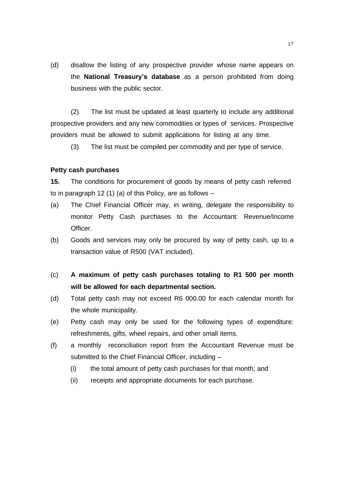(d) disallow the listing of any prospective provider whose name appears on the **National Treasury's database** as a person prohibited from doing business with the public sector.

(2) The list must be updated at least quarterly to include any additional prospective providers and any new commodities or types of services. Prospective providers must be allowed to submit applications for listing at any time.

(3) The list must be compiled per commodity and per type of service.

### **Petty cash purchases**

**15.** The conditions for procurement of goods by means of petty cash referred to in paragraph 12 (1) (a) of this Policy, are as follows –

- (a) The Chief Financial Officer may, in writing, delegate the responsibility to monitor Petty Cash purchases to the Accountant: Revenue/Income Officer.
- (b) Goods and services may only be procured by way of petty cash, up to a transaction value of R500 (VAT included).
- (c) **A maximum of petty cash purchases totaling to R1 500 per month will be allowed for each departmental section.**
- (d) Total petty cash may not exceed R6 000.00 for each calendar month for the whole municipality.
- (e) Petty cash may only be used for the following types of expenditure: refreshments, gifts, wheel repairs, and other small items.
- (f) a monthly reconciliation report from the Accountant Revenue must be submitted to the Chief Financial Officer, including –
	- (i) the total amount of petty cash purchases for that month; and
	- (ii) receipts and appropriate documents for each purchase.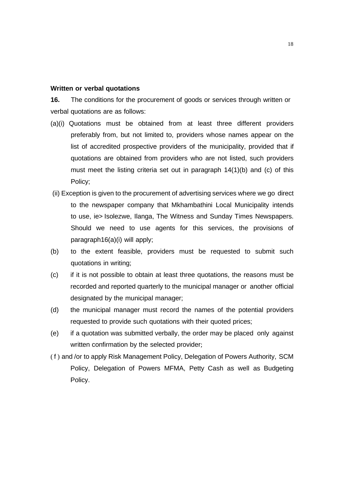### **Written or verbal quotations**

**16.** The conditions for the procurement of goods or services through written or verbal quotations are as follows:

- (a)(i) Quotations must be obtained from at least three different providers preferably from, but not limited to, providers whose names appear on the list of accredited prospective providers of the municipality, provided that if quotations are obtained from providers who are not listed, such providers must meet the listing criteria set out in paragraph 14(1)(b) and (c) of this Policy;
- (ii) Exception is given to the procurement of advertising services where we go direct to the newspaper company that Mkhambathini Local Municipality intends to use, ie> Isolezwe, Ilanga, The Witness and Sunday Times Newspapers. Should we need to use agents for this services, the provisions of paragraph16(a)(i) will apply;
- (b) to the extent feasible, providers must be requested to submit such quotations in writing;
- (c) if it is not possible to obtain at least three quotations, the reasons must be recorded and reported quarterly to the municipal manager or another official designated by the municipal manager;
- (d) the municipal manager must record the names of the potential providers requested to provide such quotations with their quoted prices;
- (e) if a quotation was submitted verbally, the order may be placed only against written confirmation by the selected provider;
- ( f ) and /or to apply Risk Management Policy, Delegation of Powers Authority, SCM Policy, Delegation of Powers MFMA, Petty Cash as well as Budgeting Policy.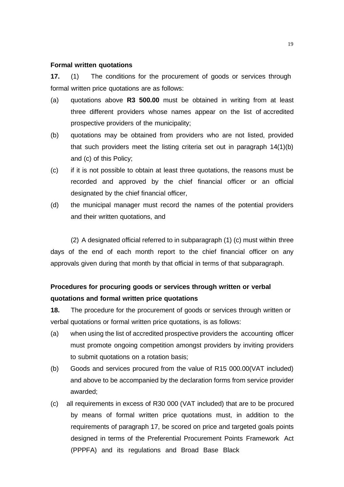#### **Formal written quotations**

**17.** (1) The conditions for the procurement of goods or services through formal written price quotations are as follows:

- (a) quotations above **R3 500.00** must be obtained in writing from at least three different providers whose names appear on the list of accredited prospective providers of the municipality;
- (b) quotations may be obtained from providers who are not listed, provided that such providers meet the listing criteria set out in paragraph 14(1)(b) and (c) of this Policy;
- (c) if it is not possible to obtain at least three quotations, the reasons must be recorded and approved by the chief financial officer or an official designated by the chief financial officer,
- (d) the municipal manager must record the names of the potential providers and their written quotations, and

(2) A designated official referred to in subparagraph (1) (c) must within three days of the end of each month report to the chief financial officer on any approvals given during that month by that official in terms of that subparagraph.

# **Procedures for procuring goods or services through written or verbal quotations and formal written price quotations**

**18.** The procedure for the procurement of goods or services through written or verbal quotations or formal written price quotations, is as follows:

- (a) when using the list of accredited prospective providers the accounting officer must promote ongoing competition amongst providers by inviting providers to submit quotations on a rotation basis;
- (b) Goods and services procured from the value of R15 000.00(VAT included) and above to be accompanied by the declaration forms from service provider awarded;
- (c) all requirements in excess of R30 000 (VAT included) that are to be procured by means of formal written price quotations must, in addition to the requirements of paragraph 17, be scored on price and targeted goals points designed in terms of the Preferential Procurement Points Framework Act (PPPFA) and its regulations and Broad Base Black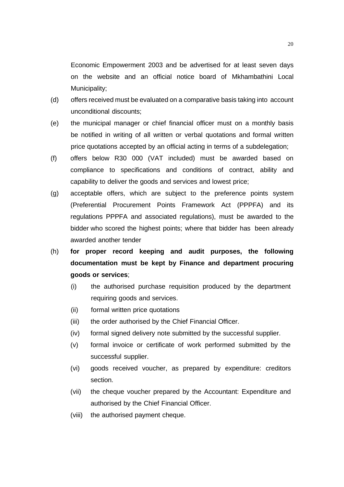Economic Empowerment 2003 and be advertised for at least seven days on the website and an official notice board of Mkhambathini Local Municipality;

- (d) offers received must be evaluated on a comparative basis taking into account unconditional discounts;
- (e) the municipal manager or chief financial officer must on a monthly basis be notified in writing of all written or verbal quotations and formal written price quotations accepted by an official acting in terms of a subdelegation;
- (f) offers below R30 000 (VAT included) must be awarded based on compliance to specifications and conditions of contract, ability and capability to deliver the goods and services and lowest price;
- (g) acceptable offers, which are subject to the preference points system (Preferential Procurement Points Framework Act (PPPFA) and its regulations PPPFA and associated regulations), must be awarded to the bidder who scored the highest points; where that bidder has been already awarded another tender
- (h) **for proper record keeping and audit purposes, the following documentation must be kept by Finance and department procuring goods or services**;
	- (i) the authorised purchase requisition produced by the department requiring goods and services.
	- (ii) formal written price quotations
	- (iii) the order authorised by the Chief Financial Officer.
	- (iv) formal signed delivery note submitted by the successful supplier.
	- (v) formal invoice or certificate of work performed submitted by the successful supplier.
	- (vi) goods received voucher, as prepared by expenditure: creditors section.
	- (vii) the cheque voucher prepared by the Accountant: Expenditure and authorised by the Chief Financial Officer.
	- (viii) the authorised payment cheque.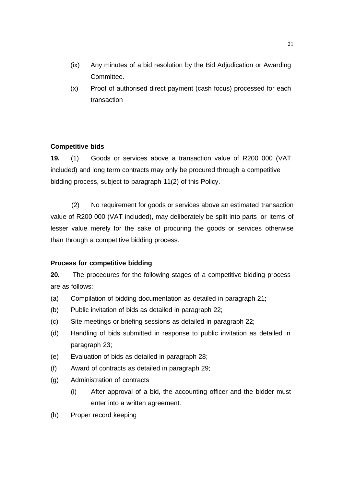- (ix) Any minutes of a bid resolution by the Bid Adjudication or Awarding Committee.
- (x) Proof of authorised direct payment (cash focus) processed for each transaction

# **Competitive bids**

**19.** (1) Goods or services above a transaction value of R200 000 (VAT included) and long term contracts may only be procured through a competitive bidding process, subject to paragraph 11(2) of this Policy.

(2) No requirement for goods or services above an estimated transaction value of R200 000 (VAT included), may deliberately be split into parts or items of lesser value merely for the sake of procuring the goods or services otherwise than through a competitive bidding process.

# **Process for competitive bidding**

**20.** The procedures for the following stages of a competitive bidding process are as follows:

- (a) Compilation of bidding documentation as detailed in paragraph 21;
- (b) Public invitation of bids as detailed in paragraph 22;
- (c) Site meetings or briefing sessions as detailed in paragraph 22;
- (d) Handling of bids submitted in response to public invitation as detailed in paragraph 23;
- (e) Evaluation of bids as detailed in paragraph 28;
- (f) Award of contracts as detailed in paragraph 29;
- (g) Administration of contracts
	- (i) After approval of a bid, the accounting officer and the bidder must enter into a written agreement.
- (h) Proper record keeping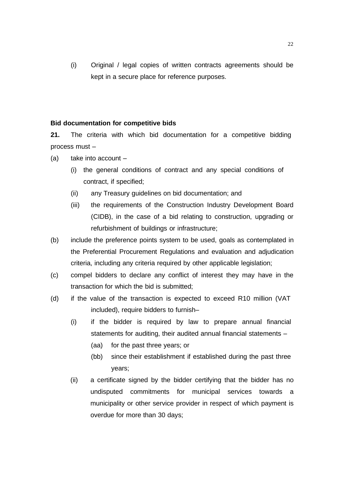(i) Original / legal copies of written contracts agreements should be kept in a secure place for reference purposes.

## **Bid documentation for competitive bids**

**21.** The criteria with which bid documentation for a competitive bidding process must –

- $(a)$  take into account
	- (i) the general conditions of contract and any special conditions of contract, if specified;
	- (ii) any Treasury guidelines on bid documentation; and
	- (iii) the requirements of the Construction Industry Development Board (CIDB), in the case of a bid relating to construction, upgrading or refurbishment of buildings or infrastructure;
- (b) include the preference points system to be used, goals as contemplated in the Preferential Procurement Regulations and evaluation and adjudication criteria, including any criteria required by other applicable legislation;
- (c) compel bidders to declare any conflict of interest they may have in the transaction for which the bid is submitted;
- (d) if the value of the transaction is expected to exceed R10 million (VAT included), require bidders to furnish–
	- (i) if the bidder is required by law to prepare annual financial statements for auditing, their audited annual financial statements –
		- (aa) for the past three years; or
		- (bb) since their establishment if established during the past three years;
	- (ii) a certificate signed by the bidder certifying that the bidder has no undisputed commitments for municipal services towards a municipality or other service provider in respect of which payment is overdue for more than 30 days;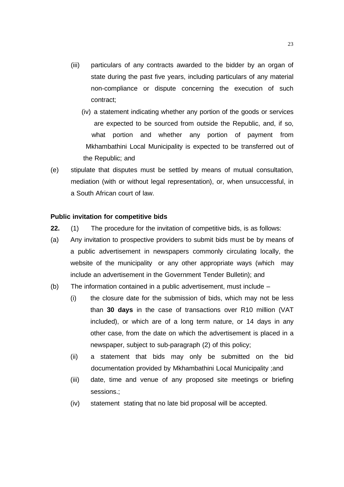- (iii) particulars of any contracts awarded to the bidder by an organ of state during the past five years, including particulars of any material non-compliance or dispute concerning the execution of such contract;
	- (iv) a statement indicating whether any portion of the goods or services are expected to be sourced from outside the Republic, and, if so, what portion and whether any portion of payment from Mkhambathini Local Municipality is expected to be transferred out of the Republic; and
- (e) stipulate that disputes must be settled by means of mutual consultation, mediation (with or without legal representation), or, when unsuccessful, in a South African court of law.

### **Public invitation for competitive bids**

- **22.** (1) The procedure for the invitation of competitive bids, is as follows:
- (a) Any invitation to prospective providers to submit bids must be by means of a public advertisement in newspapers commonly circulating locally, the website of the municipality or any other appropriate ways (which may include an advertisement in the Government Tender Bulletin); and
- (b) The information contained in a public advertisement, must include
	- (i) the closure date for the submission of bids, which may not be less than **30 days** in the case of transactions over R10 million (VAT included), or which are of a long term nature, or 14 days in any other case, from the date on which the advertisement is placed in a newspaper, subject to sub-paragraph (2) of this policy;
	- (ii) a statement that bids may only be submitted on the bid documentation provided by Mkhambathini Local Municipality ;and
	- (iii) date, time and venue of any proposed site meetings or briefing sessions.;
	- (iv) statement stating that no late bid proposal will be accepted.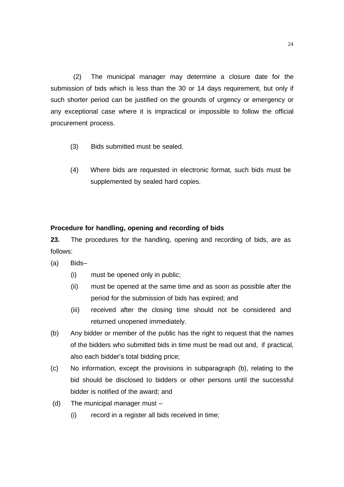(2) The municipal manager may determine a closure date for the submission of bids which is less than the 30 or 14 days requirement, but only if such shorter period can be justified on the grounds of urgency or emergency or any exceptional case where it is impractical or impossible to follow the official procurement process.

- (3) Bids submitted must be sealed.
- (4) Where bids are requested in electronic format, such bids must be supplemented by sealed hard copies.

# **Procedure for handling, opening and recording of bids**

**23.** The procedures for the handling, opening and recording of bids, are as follows:

- (a) Bids–
	- (i) must be opened only in public;
	- (ii) must be opened at the same time and as soon as possible after the period for the submission of bids has expired; and
	- (iii) received after the closing time should not be considered and returned unopened immediately.
- (b) Any bidder or member of the public has the right to request that the names of the bidders who submitted bids in time must be read out and, if practical, also each bidder's total bidding price;
- (c) No information, except the provisions in subparagraph (b), relating to the bid should be disclosed to bidders or other persons until the successful bidder is notified of the award; and
- (d) The municipal manager must
	- (i) record in a register all bids received in time;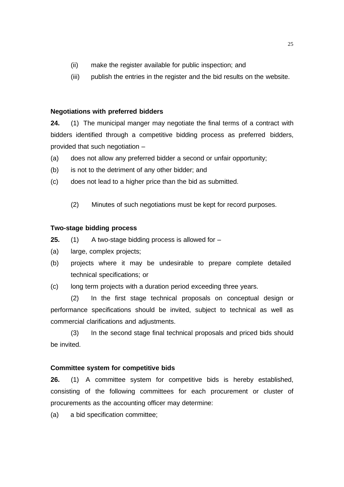- (ii) make the register available for public inspection; and
- (iii) publish the entries in the register and the bid results on the website.

# **Negotiations with preferred bidders**

**24.** (1) The municipal manger may negotiate the final terms of a contract with bidders identified through a competitive bidding process as preferred bidders, provided that such negotiation –

- (a) does not allow any preferred bidder a second or unfair opportunity;
- (b) is not to the detriment of any other bidder; and
- (c) does not lead to a higher price than the bid as submitted.
	- (2) Minutes of such negotiations must be kept for record purposes.

### **Two-stage bidding process**

- **25.** (1) A two-stage bidding process is allowed for –
- (a) large, complex projects;
- (b) projects where it may be undesirable to prepare complete detailed technical specifications; or
- (c) long term projects with a duration period exceeding three years.

(2) In the first stage technical proposals on conceptual design or performance specifications should be invited, subject to technical as well as commercial clarifications and adjustments.

(3) In the second stage final technical proposals and priced bids should be invited.

### **Committee system for competitive bids**

**26.** (1) A committee system for competitive bids is hereby established, consisting of the following committees for each procurement or cluster of procurements as the accounting officer may determine:

(a) a bid specification committee;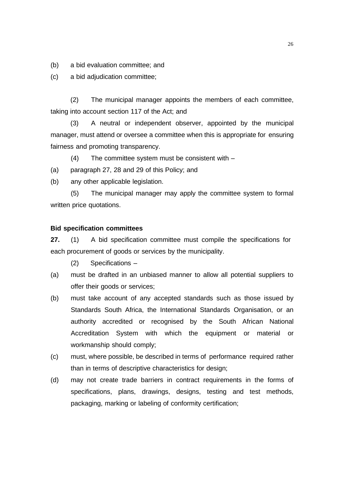(b) a bid evaluation committee; and

(c) a bid adjudication committee;

(2) The municipal manager appoints the members of each committee, taking into account section 117 of the Act; and

(3) A neutral or independent observer, appointed by the municipal manager, must attend or oversee a committee when this is appropriate for ensuring fairness and promoting transparency.

(4) The committee system must be consistent with –

- (a) paragraph 27, 28 and 29 of this Policy; and
- (b) any other applicable legislation.

(5) The municipal manager may apply the committee system to formal written price quotations.

### **Bid specification committees**

**27.** (1) A bid specification committee must compile the specifications for each procurement of goods or services by the municipality.

(2) Specifications –

- (a) must be drafted in an unbiased manner to allow all potential suppliers to offer their goods or services;
- (b) must take account of any accepted standards such as those issued by Standards South Africa, the International Standards Organisation, or an authority accredited or recognised by the South African National Accreditation System with which the equipment or material or workmanship should comply;
- (c) must, where possible, be described in terms of performance required rather than in terms of descriptive characteristics for design;
- (d) may not create trade barriers in contract requirements in the forms of specifications, plans, drawings, designs, testing and test methods, packaging, marking or labeling of conformity certification;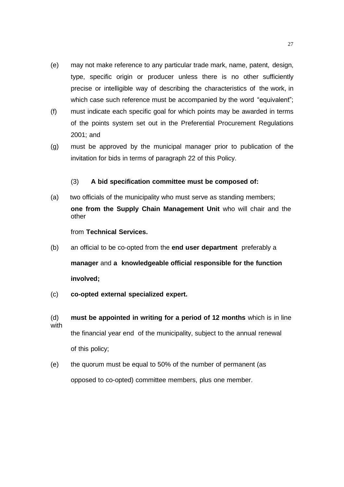- (e) may not make reference to any particular trade mark, name, patent, design, type, specific origin or producer unless there is no other sufficiently precise or intelligible way of describing the characteristics of the work, in which case such reference must be accompanied by the word "equivalent";
- (f) must indicate each specific goal for which points may be awarded in terms of the points system set out in the Preferential Procurement Regulations 2001; and
- (g) must be approved by the municipal manager prior to publication of the invitation for bids in terms of paragraph 22 of this Policy.

# (3) **A bid specification committee must be composed of:**

(a) two officials of the municipality who must serve as standing members; **one from the Supply Chain Management Unit** who will chair and the other

from **Technical Services.**

- (b) an official to be co-opted from the **end user department** preferably a **manager** and **a knowledgeable official responsible for the function involved;**
- (c) **co-opted external specialized expert.**
- (d) **must be appointed in writing for a period of 12 months** which is in line with the financial year end of the municipality, subject to the annual renewal of this policy;
- (e) the quorum must be equal to 50% of the number of permanent (as opposed to co-opted) committee members, plus one member.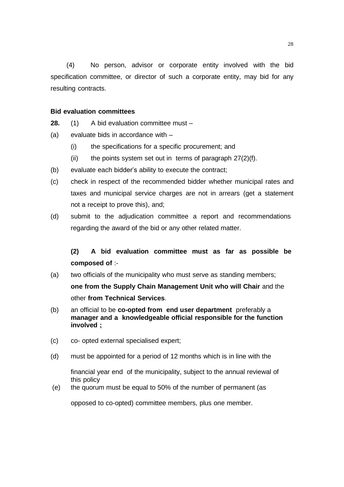(4) No person, advisor or corporate entity involved with the bid specification committee, or director of such a corporate entity, may bid for any resulting contracts.

# **Bid evaluation committees**

- **28.** (1) A bid evaluation committee must –
- (a) evaluate bids in accordance with
	- (i) the specifications for a specific procurement; and
	- (ii) the points system set out in terms of paragraph  $27(2)(f)$ .
- (b) evaluate each bidder's ability to execute the contract;
- (c) check in respect of the recommended bidder whether municipal rates and taxes and municipal service charges are not in arrears (get a statement not a receipt to prove this), and;
- (d) submit to the adjudication committee a report and recommendations regarding the award of the bid or any other related matter.

# **(2) A bid evaluation committee must as far as possible be composed of** :-

- (a) two officials of the municipality who must serve as standing members; **one from the Supply Chain Management Unit who will Chair** and the other **from Technical Services**.
- (b) an official to be **co-opted from end user department** preferably a **manager and a knowledgeable official responsible for the function involved ;**
- (c) co- opted external specialised expert;
- (d) must be appointed for a period of 12 months which is in line with the

financial year end of the municipality, subject to the annual reviewal of this policy

(e) the quorum must be equal to 50% of the number of permanent (as

opposed to co-opted) committee members, plus one member.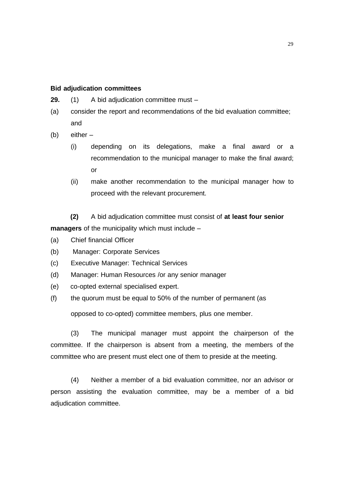### **Bid adjudication committees**

- **29.** (1) A bid adjudication committee must –
- (a) consider the report and recommendations of the bid evaluation committee; and
- (b) either
	- (i) depending on its delegations, make a final award or a recommendation to the municipal manager to make the final award; or
	- (ii) make another recommendation to the municipal manager how to proceed with the relevant procurement.

**(2)** A bid adjudication committee must consist of **at least four senior managers** of the municipality which must include –

- (a) Chief financial Officer
- (b) Manager: Corporate Services
- (c) Executive Manager: Technical Services
- (d) Manager: Human Resources /or any senior manager
- (e) co-opted external specialised expert.
- (f) the quorum must be equal to 50% of the number of permanent (as

opposed to co-opted) committee members, plus one member.

(3) The municipal manager must appoint the chairperson of the committee. If the chairperson is absent from a meeting, the members of the committee who are present must elect one of them to preside at the meeting.

(4) Neither a member of a bid evaluation committee, nor an advisor or person assisting the evaluation committee, may be a member of a bid adjudication committee.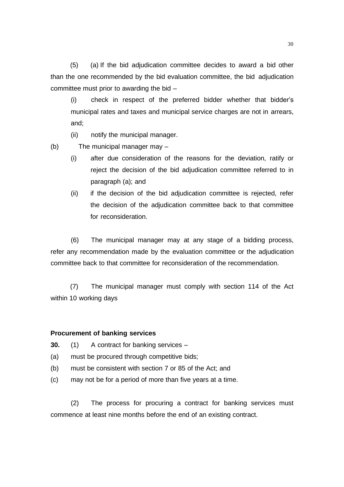(5) (a) If the bid adjudication committee decides to award a bid other than the one recommended by the bid evaluation committee, the bid adjudication committee must prior to awarding the bid –

(i) check in respect of the preferred bidder whether that bidder's municipal rates and taxes and municipal service charges are not in arrears, and;

(ii) notify the municipal manager.

(b) The municipal manager may –

- (i) after due consideration of the reasons for the deviation, ratify or reject the decision of the bid adjudication committee referred to in paragraph (a); and
- (ii) if the decision of the bid adjudication committee is rejected, refer the decision of the adjudication committee back to that committee for reconsideration.

(6) The municipal manager may at any stage of a bidding process, refer any recommendation made by the evaluation committee or the adjudication committee back to that committee for reconsideration of the recommendation.

(7) The municipal manager must comply with section 114 of the Act within 10 working days

### **Procurement of banking services**

**30.** (1) A contract for banking services –

- (a) must be procured through competitive bids;
- (b) must be consistent with section 7 or 85 of the Act; and
- (c) may not be for a period of more than five years at a time.

(2) The process for procuring a contract for banking services must commence at least nine months before the end of an existing contract.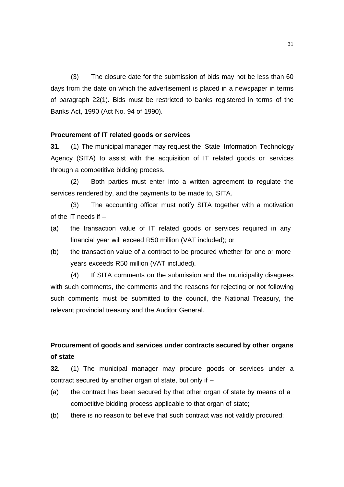(3) The closure date for the submission of bids may not be less than 60 days from the date on which the advertisement is placed in a newspaper in terms of paragraph 22(1). Bids must be restricted to banks registered in terms of the Banks Act, 1990 (Act No. 94 of 1990).

### **Procurement of IT related goods or services**

**31.** (1) The municipal manager may request the State Information Technology Agency (SITA) to assist with the acquisition of IT related goods or services through a competitive bidding process.

(2) Both parties must enter into a written agreement to regulate the services rendered by, and the payments to be made to, SITA.

(3) The accounting officer must notify SITA together with a motivation of the IT needs if  $-$ 

- (a) the transaction value of IT related goods or services required in any financial year will exceed R50 million (VAT included); or
- (b) the transaction value of a contract to be procured whether for one or more years exceeds R50 million (VAT included).

(4) If SITA comments on the submission and the municipality disagrees with such comments, the comments and the reasons for rejecting or not following such comments must be submitted to the council, the National Treasury, the relevant provincial treasury and the Auditor General.

# **Procurement of goods and services under contracts secured by other organs of state**

**32.** (1) The municipal manager may procure goods or services under a contract secured by another organ of state, but only if –

- (a) the contract has been secured by that other organ of state by means of a competitive bidding process applicable to that organ of state;
- (b) there is no reason to believe that such contract was not validly procured;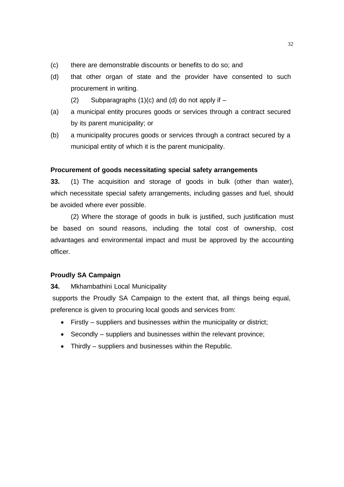- (c) there are demonstrable discounts or benefits to do so; and
- (d) that other organ of state and the provider have consented to such procurement in writing.
	- (2) Subparagraphs  $(1)(c)$  and  $(d)$  do not apply if  $-$
- (a) a municipal entity procures goods or services through a contract secured by its parent municipality; or
- (b) a municipality procures goods or services through a contract secured by a municipal entity of which it is the parent municipality.

# **Procurement of goods necessitating special safety arrangements**

**33.** (1) The acquisition and storage of goods in bulk (other than water), which necessitate special safety arrangements, including gasses and fuel, should be avoided where ever possible.

(2) Where the storage of goods in bulk is justified, such justification must be based on sound reasons, including the total cost of ownership, cost advantages and environmental impact and must be approved by the accounting officer.

## **Proudly SA Campaign**

**34.** Mkhambathini Local Municipality

supports the Proudly SA Campaign to the extent that, all things being equal, preference is given to procuring local goods and services from:

- Firstly suppliers and businesses within the municipality or district;
- Secondly suppliers and businesses within the relevant province;
- Thirdly suppliers and businesses within the Republic.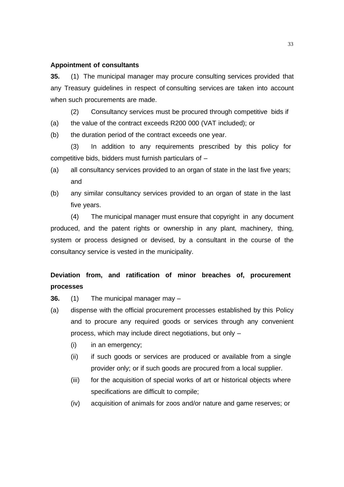#### **Appointment of consultants**

**35.** (1) The municipal manager may procure consulting services provided that any Treasury guidelines in respect of consulting services are taken into account when such procurements are made.

(2) Consultancy services must be procured through competitive bids if

(a) the value of the contract exceeds R200 000 (VAT included); or

(b) the duration period of the contract exceeds one year.

(3) In addition to any requirements prescribed by this policy for competitive bids, bidders must furnish particulars of –

- (a) all consultancy services provided to an organ of state in the last five years; and
- (b) any similar consultancy services provided to an organ of state in the last five years.

(4) The municipal manager must ensure that copyright in any document produced, and the patent rights or ownership in any plant, machinery, thing, system or process designed or devised, by a consultant in the course of the consultancy service is vested in the municipality.

# **Deviation from, and ratification of minor breaches of, procurement processes**

**36.** (1) The municipal manager may –

- (a) dispense with the official procurement processes established by this Policy and to procure any required goods or services through any convenient process, which may include direct negotiations, but only –
	- (i) in an emergency;
	- (ii) if such goods or services are produced or available from a single provider only; or if such goods are procured from a local supplier.
	- (iii) for the acquisition of special works of art or historical objects where specifications are difficult to compile;
	- (iv) acquisition of animals for zoos and/or nature and game reserves; or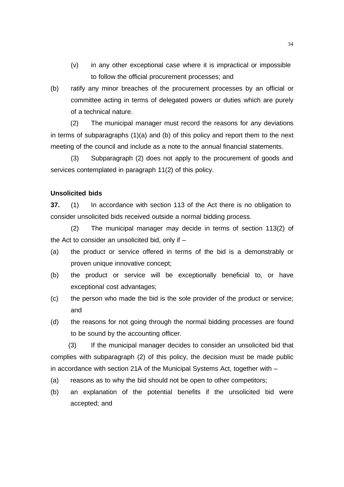- (v) in any other exceptional case where it is impractical or impossible to follow the official procurement processes; and
- (b) ratify any minor breaches of the procurement processes by an official or committee acting in terms of delegated powers or duties which are purely of a technical nature.

(2) The municipal manager must record the reasons for any deviations in terms of subparagraphs (1)(a) and (b) of this policy and report them to the next meeting of the council and include as a note to the annual financial statements.

(3) Subparagraph (2) does not apply to the procurement of goods and services contemplated in paragraph 11(2) of this policy.

# **Unsolicited bids**

**37.** (1) In accordance with section 113 of the Act there is no obligation to consider unsolicited bids received outside a normal bidding process.

(2) The municipal manager may decide in terms of section 113(2) of the Act to consider an unsolicited bid, only if –

- (a) the product or service offered in terms of the bid is a demonstrably or proven unique innovative concept;
- (b) the product or service will be exceptionally beneficial to, or have exceptional cost advantages;
- (c) the person who made the bid is the sole provider of the product or service; and
- (d) the reasons for not going through the normal bidding processes are found to be sound by the accounting officer.

(3) If the municipal manager decides to consider an unsolicited bid that complies with subparagraph (2) of this policy, the decision must be made public in accordance with section 21A of the Municipal Systems Act, together with –

- (a) reasons as to why the bid should not be open to other competitors;
- (b) an explanation of the potential benefits if the unsolicited bid were accepted; and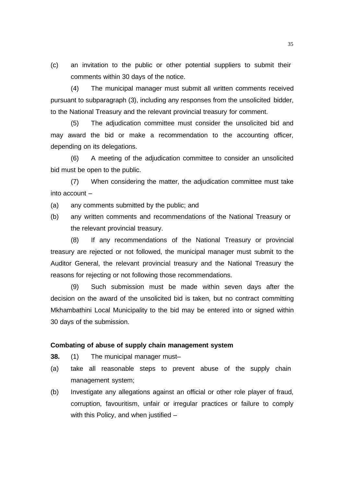(c) an invitation to the public or other potential suppliers to submit their comments within 30 days of the notice.

(4) The municipal manager must submit all written comments received pursuant to subparagraph (3), including any responses from the unsolicited bidder, to the National Treasury and the relevant provincial treasury for comment.

(5) The adjudication committee must consider the unsolicited bid and may award the bid or make a recommendation to the accounting officer, depending on its delegations.

(6) A meeting of the adjudication committee to consider an unsolicited bid must be open to the public.

(7) When considering the matter, the adjudication committee must take into account –

- (a) any comments submitted by the public; and
- (b) any written comments and recommendations of the National Treasury or the relevant provincial treasury.

(8) If any recommendations of the National Treasury or provincial treasury are rejected or not followed, the municipal manager must submit to the Auditor General, the relevant provincial treasury and the National Treasury the reasons for rejecting or not following those recommendations.

(9) Such submission must be made within seven days after the decision on the award of the unsolicited bid is taken, but no contract committing Mkhambathini Local Municipality to the bid may be entered into or signed within 30 days of the submission.

### **Combating of abuse of supply chain management system**

**38.** (1) The municipal manager must–

- (a) take all reasonable steps to prevent abuse of the supply chain management system;
- (b) Investigate any allegations against an official or other role player of fraud, corruption, favouritism, unfair or irregular practices or failure to comply with this Policy, and when justified –

35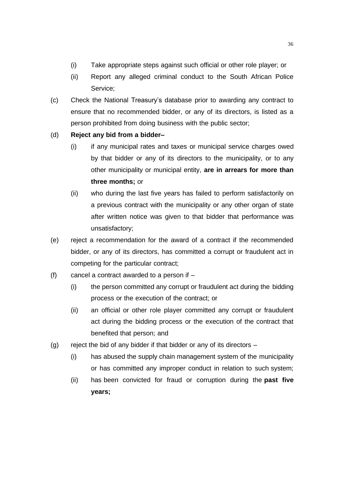- (i) Take appropriate steps against such official or other role player; or
- (ii) Report any alleged criminal conduct to the South African Police Service;
- (c) Check the National Treasury's database prior to awarding any contract to ensure that no recommended bidder, or any of its directors, is listed as a person prohibited from doing business with the public sector;

# (d) **Reject any bid from a bidder–**

- (i) if any municipal rates and taxes or municipal service charges owed by that bidder or any of its directors to the municipality, or to any other municipality or municipal entity, **are in arrears for more than three months;** or
- (ii) who during the last five years has failed to perform satisfactorily on a previous contract with the municipality or any other organ of state after written notice was given to that bidder that performance was unsatisfactory;
- (e) reject a recommendation for the award of a contract if the recommended bidder, or any of its directors, has committed a corrupt or fraudulent act in competing for the particular contract;
- (f) cancel a contract awarded to a person if  $-$ 
	- (i) the person committed any corrupt or fraudulent act during the bidding process or the execution of the contract; or
	- (ii) an official or other role player committed any corrupt or fraudulent act during the bidding process or the execution of the contract that benefited that person; and
- (g) reject the bid of any bidder if that bidder or any of its directors  $-$ 
	- (i) has abused the supply chain management system of the municipality or has committed any improper conduct in relation to such system;
	- (ii) has been convicted for fraud or corruption during the **past five years;**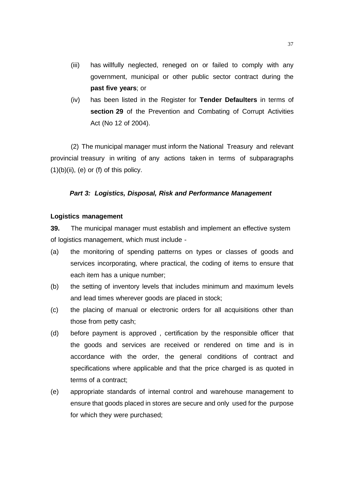- (iii) has willfully neglected, reneged on or failed to comply with any government, municipal or other public sector contract during the **past five years**; or
- (iv) has been listed in the Register for **Tender Defaulters** in terms of **section 29** of the Prevention and Combating of Corrupt Activities Act (No 12 of 2004).

(2) The municipal manager must inform the National Treasury and relevant provincial treasury in writing of any actions taken in terms of subparagraphs  $(1)(b)(ii)$ , (e) or (f) of this policy.

### *Part 3: Logistics, Disposal, Risk and Performance Management*

### **Logistics management**

**39.** The municipal manager must establish and implement an effective system of logistics management, which must include -

- (a) the monitoring of spending patterns on types or classes of goods and services incorporating, where practical, the coding of items to ensure that each item has a unique number;
- (b) the setting of inventory levels that includes minimum and maximum levels and lead times wherever goods are placed in stock;
- (c) the placing of manual or electronic orders for all acquisitions other than those from petty cash;
- (d) before payment is approved , certification by the responsible officer that the goods and services are received or rendered on time and is in accordance with the order, the general conditions of contract and specifications where applicable and that the price charged is as quoted in terms of a contract;
- (e) appropriate standards of internal control and warehouse management to ensure that goods placed in stores are secure and only used for the purpose for which they were purchased;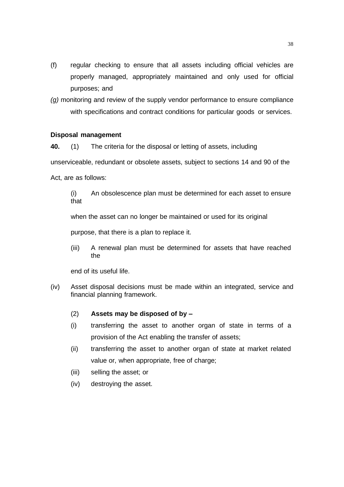- (f) regular checking to ensure that all assets including official vehicles are properly managed, appropriately maintained and only used for official purposes; and
- *(g)* monitoring and review of the supply vendor performance to ensure compliance with specifications and contract conditions for particular goods or services.

### **Disposal management**

**40.** (1) The criteria for the disposal or letting of assets, including

unserviceable, redundant or obsolete assets, subject to sections 14 and 90 of the

Act, are as follows:

(i) An obsolescence plan must be determined for each asset to ensure that

when the asset can no longer be maintained or used for its original

purpose, that there is a plan to replace it.

(iii) A renewal plan must be determined for assets that have reached the

end of its useful life.

- (iv) Asset disposal decisions must be made within an integrated, service and financial planning framework.
	- (2) **Assets may be disposed of by –**
	- (i) transferring the asset to another organ of state in terms of a provision of the Act enabling the transfer of assets;
	- (ii) transferring the asset to another organ of state at market related value or, when appropriate, free of charge;
	- (iii) selling the asset; or
	- (iv) destroying the asset.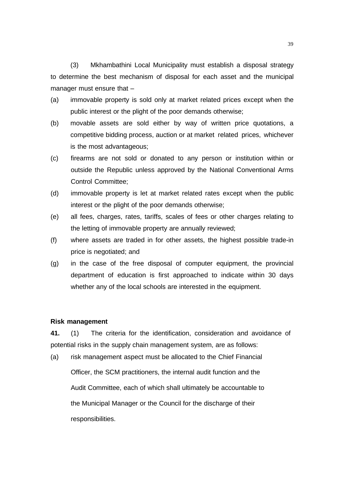(3) Mkhambathini Local Municipality must establish a disposal strategy to determine the best mechanism of disposal for each asset and the municipal manager must ensure that –

- (a) immovable property is sold only at market related prices except when the public interest or the plight of the poor demands otherwise;
- (b) movable assets are sold either by way of written price quotations, a competitive bidding process, auction or at market related prices, whichever is the most advantageous;
- (c) firearms are not sold or donated to any person or institution within or outside the Republic unless approved by the National Conventional Arms Control Committee;
- (d) immovable property is let at market related rates except when the public interest or the plight of the poor demands otherwise;
- (e) all fees, charges, rates, tariffs, scales of fees or other charges relating to the letting of immovable property are annually reviewed;
- (f) where assets are traded in for other assets, the highest possible trade-in price is negotiated; and
- (g) in the case of the free disposal of computer equipment, the provincial department of education is first approached to indicate within 30 days whether any of the local schools are interested in the equipment.

### **Risk management**

**41.** (1) The criteria for the identification, consideration and avoidance of potential risks in the supply chain management system, are as follows:

(a) risk management aspect must be allocated to the Chief Financial Officer, the SCM practitioners, the internal audit function and the Audit Committee, each of which shall ultimately be accountable to the Municipal Manager or the Council for the discharge of their responsibilities.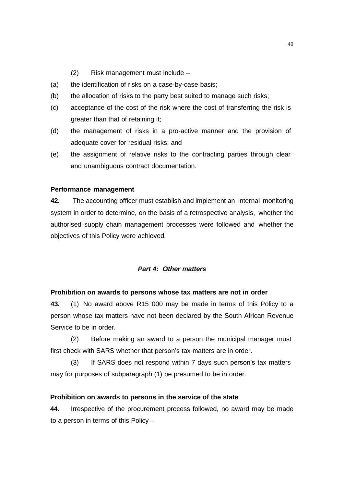- (2) Risk management must include –
- (a) the identification of risks on a case-by-case basis;
- (b) the allocation of risks to the party best suited to manage such risks;
- (c) acceptance of the cost of the risk where the cost of transferring the risk is greater than that of retaining it;
- (d) the management of risks in a pro-active manner and the provision of adequate cover for residual risks; and
- (e) the assignment of relative risks to the contracting parties through clear and unambiguous contract documentation.

### **Performance management**

**42.** The accounting officer must establish and implement an internal monitoring system in order to determine, on the basis of a retrospective analysis, whether the authorised supply chain management processes were followed and whether the objectives of this Policy were achieved.

# *Part 4: Other matters*

### **Prohibition on awards to persons whose tax matters are not in order**

**43.** (1) No award above R15 000 may be made in terms of this Policy to a person whose tax matters have not been declared by the South African Revenue Service to be in order.

(2) Before making an award to a person the municipal manager must first check with SARS whether that person's tax matters are in order.

(3) If SARS does not respond within 7 days such person's tax matters may for purposes of subparagraph (1) be presumed to be in order.

#### **Prohibition on awards to persons in the service of the state**

**44.** Irrespective of the procurement process followed, no award may be made to a person in terms of this Policy –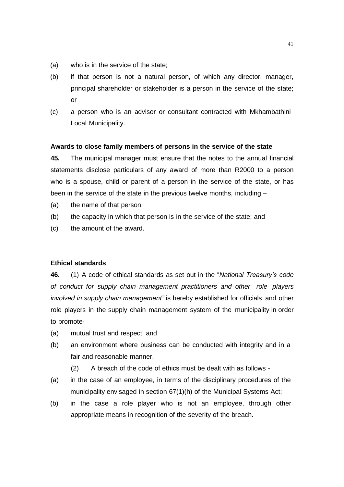- (a) who is in the service of the state;
- (b) if that person is not a natural person, of which any director, manager, principal shareholder or stakeholder is a person in the service of the state; or
- (c) a person who is an advisor or consultant contracted with Mkhambathini Local Municipality.

#### **Awards to close family members of persons in the service of the state**

**45.** The municipal manager must ensure that the notes to the annual financial statements disclose particulars of any award of more than R2000 to a person who is a spouse, child or parent of a person in the service of the state, or has been in the service of the state in the previous twelve months, including –

- (a) the name of that person;
- (b) the capacity in which that person is in the service of the state; and
- (c) the amount of the award.

# **Ethical standards**

**46.** (1) A code of ethical standards as set out in the "*National Treasury's code of conduct for supply chain management practitioners and other role players involved in supply chain management"* is hereby established for officials and other role players in the supply chain management system of the municipality in order to promote-

- (a) mutual trust and respect; and
- (b) an environment where business can be conducted with integrity and in a fair and reasonable manner.
	- (2) A breach of the code of ethics must be dealt with as follows -
- (a) in the case of an employee, in terms of the disciplinary procedures of the municipality envisaged in section 67(1)(h) of the Municipal Systems Act;
- (b) in the case a role player who is not an employee, through other appropriate means in recognition of the severity of the breach.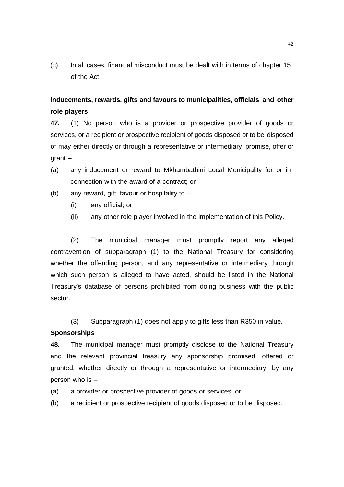(c) In all cases, financial misconduct must be dealt with in terms of chapter 15 of the Act.

# **Inducements, rewards, gifts and favours to municipalities, officials and other role players**

**47.** (1) No person who is a provider or prospective provider of goods or services, or a recipient or prospective recipient of goods disposed or to be disposed of may either directly or through a representative or intermediary promise, offer or grant –

- (a) any inducement or reward to Mkhambathini Local Municipality for or in connection with the award of a contract; or
- (b) any reward, gift, favour or hospitality to  $-$ 
	- (i) any official; or
	- (ii) any other role player involved in the implementation of this Policy.

(2) The municipal manager must promptly report any alleged contravention of subparagraph (1) to the National Treasury for considering whether the offending person, and any representative or intermediary through which such person is alleged to have acted, should be listed in the National Treasury's database of persons prohibited from doing business with the public sector.

(3) Subparagraph (1) does not apply to gifts less than R350 in value.

# **Sponsorships**

**48.** The municipal manager must promptly disclose to the National Treasury and the relevant provincial treasury any sponsorship promised, offered or granted, whether directly or through a representative or intermediary, by any person who is –

- (a) a provider or prospective provider of goods or services; or
- (b) a recipient or prospective recipient of goods disposed or to be disposed.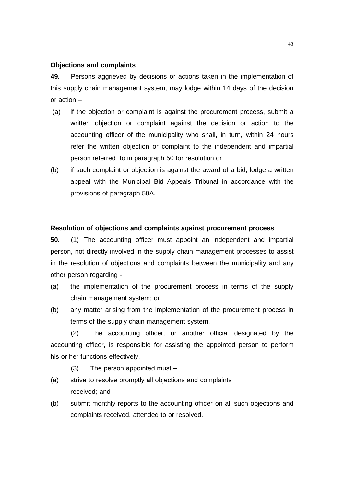### **Objections and complaints**

**49.** Persons aggrieved by decisions or actions taken in the implementation of this supply chain management system, may lodge within 14 days of the decision or action –

- (a) if the objection or complaint is against the procurement process, submit a written objection or complaint against the decision or action to the accounting officer of the municipality who shall, in turn, within 24 hours refer the written objection or complaint to the independent and impartial person referred to in paragraph 50 for resolution or
- (b) if such complaint or objection is against the award of a bid, lodge a written appeal with the Municipal Bid Appeals Tribunal in accordance with the provisions of paragraph 50A.

### **Resolution of objections and complaints against procurement process**

**50.** (1) The accounting officer must appoint an independent and impartial person, not directly involved in the supply chain management processes to assist in the resolution of objections and complaints between the municipality and any other person regarding -

- (a) the implementation of the procurement process in terms of the supply chain management system; or
- (b) any matter arising from the implementation of the procurement process in terms of the supply chain management system.

(2) The accounting officer, or another official designated by the accounting officer, is responsible for assisting the appointed person to perform his or her functions effectively.

- (3) The person appointed must –
- (a) strive to resolve promptly all objections and complaints received; and
- (b) submit monthly reports to the accounting officer on all such objections and complaints received, attended to or resolved.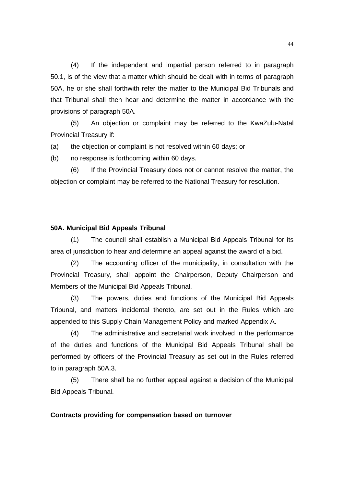(4) If the independent and impartial person referred to in paragraph 50.1, is of the view that a matter which should be dealt with in terms of paragraph 50A, he or she shall forthwith refer the matter to the Municipal Bid Tribunals and that Tribunal shall then hear and determine the matter in accordance with the provisions of paragraph 50A.

(5) An objection or complaint may be referred to the KwaZulu-Natal Provincial Treasury if:

(a) the objection or complaint is not resolved within 60 days; or

(b) no response is forthcoming within 60 days.

(6) If the Provincial Treasury does not or cannot resolve the matter, the objection or complaint may be referred to the National Treasury for resolution.

### **50A. Municipal Bid Appeals Tribunal**

(1) The council shall establish a Municipal Bid Appeals Tribunal for its area of jurisdiction to hear and determine an appeal against the award of a bid.

(2) The accounting officer of the municipality, in consultation with the Provincial Treasury, shall appoint the Chairperson, Deputy Chairperson and Members of the Municipal Bid Appeals Tribunal.

(3) The powers, duties and functions of the Municipal Bid Appeals Tribunal, and matters incidental thereto, are set out in the Rules which are appended to this Supply Chain Management Policy and marked Appendix A.

(4) The administrative and secretarial work involved in the performance of the duties and functions of the Municipal Bid Appeals Tribunal shall be performed by officers of the Provincial Treasury as set out in the Rules referred to in paragraph 50A.3.

(5) There shall be no further appeal against a decision of the Municipal Bid Appeals Tribunal.

## **Contracts providing for compensation based on turnover**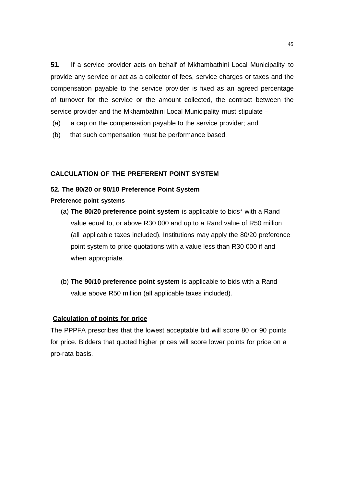**51.** If a service provider acts on behalf of Mkhambathini Local Municipality to provide any service or act as a collector of fees, service charges or taxes and the compensation payable to the service provider is fixed as an agreed percentage of turnover for the service or the amount collected, the contract between the service provider and the Mkhambathini Local Municipality must stipulate –

- (a) a cap on the compensation payable to the service provider; and
- (b) that such compensation must be performance based.

# **CALCULATION OF THE PREFERENT POINT SYSTEM**

# **52. The 80/20 or 90/10 Preference Point System**

## **Preference point systems**

- (a) **The 80/20 preference point system** is applicable to bids\* with a Rand value equal to, or above R30 000 and up to a Rand value of R50 million (all applicable taxes included). Institutions may apply the 80/20 preference point system to price quotations with a value less than R30 000 if and when appropriate.
- (b) **The 90/10 preference point system** is applicable to bids with a Rand value above R50 million (all applicable taxes included).

### **Calculation of points for price**

The PPPFA prescribes that the lowest acceptable bid will score 80 or 90 points for price. Bidders that quoted higher prices will score lower points for price on a pro-rata basis.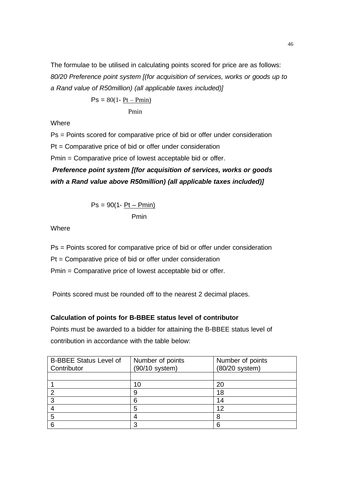The formulae to be utilised in calculating points scored for price are as follows: *80/20 Preference point system [(for acquisition of services, works or goods up to a Rand value of R50million) (all applicable taxes included)]*

$$
Ps = 80(1 - \underline{Pt - Pmin)}
$$
  
Prmin

Where

Ps = Points scored for comparative price of bid or offer under consideration

Pt = Comparative price of bid or offer under consideration

Pmin = Comparative price of lowest acceptable bid or offer.

*Preference point system [(for acquisition of services, works or goods with a Rand value above R50million) (all applicable taxes included)]*

$$
Ps = 90(1 - \frac{Pt - Pmin)}{Pmin}
$$

Where

Ps = Points scored for comparative price of bid or offer under consideration

Pt = Comparative price of bid or offer under consideration

Pmin = Comparative price of lowest acceptable bid or offer.

Points scored must be rounded off to the nearest 2 decimal places.

# **Calculation of points for B-BBEE status level of contributor**

Points must be awarded to a bidder for attaining the B-BBEE status level of contribution in accordance with the table below:

| <b>B-BBEE Status Level of</b><br>Contributor | Number of points<br>(90/10 system) | Number of points<br>$(80/20$ system) |
|----------------------------------------------|------------------------------------|--------------------------------------|
|                                              |                                    |                                      |
|                                              |                                    |                                      |
|                                              | 10                                 | 20                                   |
| っ                                            |                                    | 18                                   |
| 3                                            | 6                                  | 14                                   |
|                                              | 5                                  | 12                                   |
| 5                                            |                                    |                                      |
| 6                                            |                                    |                                      |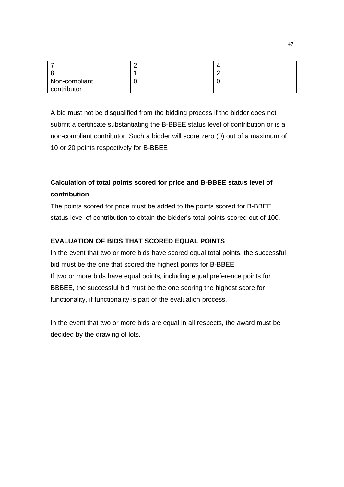| Non-compliant                                      |  |
|----------------------------------------------------|--|
| the contract of the contract of the<br>contributor |  |

A bid must not be disqualified from the bidding process if the bidder does not submit a certificate substantiating the B-BBEE status level of contribution or is a non-compliant contributor. Such a bidder will score zero (0) out of a maximum of 10 or 20 points respectively for B-BBEE

# **Calculation of total points scored for price and B-BBEE status level of contribution**

The points scored for price must be added to the points scored for B-BBEE status level of contribution to obtain the bidder's total points scored out of 100.

# **EVALUATION OF BIDS THAT SCORED EQUAL POINTS**

In the event that two or more bids have scored equal total points, the successful bid must be the one that scored the highest points for B-BBEE. If two or more bids have equal points, including equal preference points for BBBEE, the successful bid must be the one scoring the highest score for functionality, if functionality is part of the evaluation process.

In the event that two or more bids are equal in all respects, the award must be decided by the drawing of lots.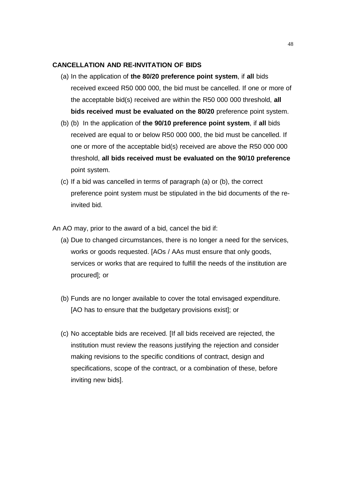### **CANCELLATION AND RE-INVITATION OF BIDS**

- (a) In the application of **the 80/20 preference point system**, if **all** bids received exceed R50 000 000, the bid must be cancelled. If one or more of the acceptable bid(s) received are within the R50 000 000 threshold, **all bids received must be evaluated on the 80/20** preference point system.
- (b) (b) In the application of **the 90/10 preference point system**, if **all** bids received are equal to or below R50 000 000, the bid must be cancelled. If one or more of the acceptable bid(s) received are above the R50 000 000 threshold, **all bids received must be evaluated on the 90/10 preference** point system.
- (c) If a bid was cancelled in terms of paragraph (a) or (b), the correct preference point system must be stipulated in the bid documents of the reinvited bid.

An AO may, prior to the award of a bid, cancel the bid if:

- (a) Due to changed circumstances, there is no longer a need for the services, works or goods requested. [AOs / AAs must ensure that only goods, services or works that are required to fulfill the needs of the institution are procured]; or
- (b) Funds are no longer available to cover the total envisaged expenditure. [AO has to ensure that the budgetary provisions exist]; or
- (c) No acceptable bids are received. [If all bids received are rejected, the institution must review the reasons justifying the rejection and consider making revisions to the specific conditions of contract, design and specifications, scope of the contract, or a combination of these, before inviting new bids].